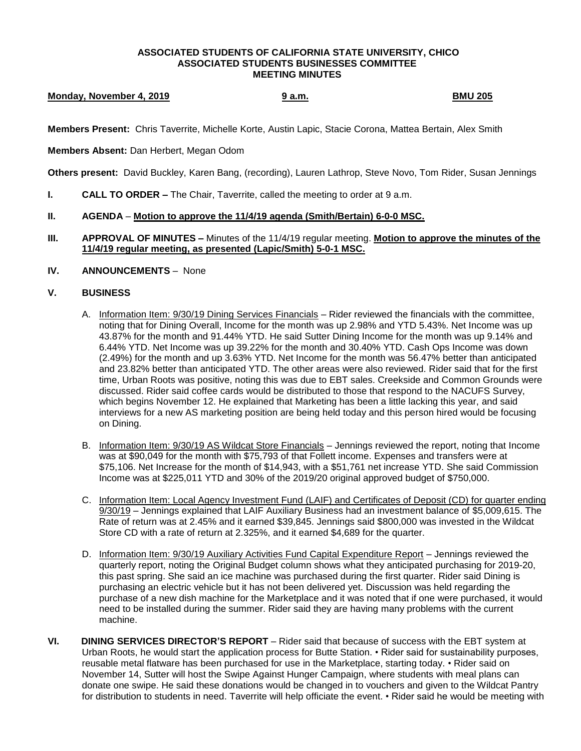#### **ASSOCIATED STUDENTS OF CALIFORNIA STATE UNIVERSITY, CHICO ASSOCIATED STUDENTS BUSINESSES COMMITTEE MEETING MINUTES**

# **Monday, November 4, 2019 1999 12: All Strategies of the SMU 205 BMU 205**

**Members Present:** Chris Taverrite, Michelle Korte, Austin Lapic, Stacie Corona, Mattea Bertain, Alex Smith

### **Members Absent:** Dan Herbert, Megan Odom

**Others present:** David Buckley, Karen Bang, (recording), Lauren Lathrop, Steve Novo, Tom Rider, Susan Jennings

**I. CALL TO ORDER –** The Chair, Taverrite, called the meeting to order at 9 a.m.

### **II. AGENDA** – **Motion to approve the 11/4/19 agenda (Smith/Bertain) 6-0-0 MSC.**

**III. APPROVAL OF MINUTES –** Minutes of the 11/4/19 regular meeting. **Motion to approve the minutes of the 11/4/19 regular meeting, as presented (Lapic/Smith) 5-0-1 MSC.**

## **IV. ANNOUNCEMENTS** – None

## **V. BUSINESS**

- A. Information Item: 9/30/19 Dining Services Financials Rider reviewed the financials with the committee, noting that for Dining Overall, Income for the month was up 2.98% and YTD 5.43%. Net Income was up 43.87% for the month and 91.44% YTD. He said Sutter Dining Income for the month was up 9.14% and 6.44% YTD. Net Income was up 39.22% for the month and 30.40% YTD. Cash Ops Income was down (2.49%) for the month and up 3.63% YTD. Net Income for the month was 56.47% better than anticipated and 23.82% better than anticipated YTD. The other areas were also reviewed. Rider said that for the first time, Urban Roots was positive, noting this was due to EBT sales. Creekside and Common Grounds were discussed. Rider said coffee cards would be distributed to those that respond to the NACUFS Survey, which begins November 12. He explained that Marketing has been a little lacking this year, and said interviews for a new AS marketing position are being held today and this person hired would be focusing on Dining.
- B. Information Item: 9/30/19 AS Wildcat Store Financials Jennings reviewed the report, noting that Income was at \$90,049 for the month with \$75,793 of that Follett income. Expenses and transfers were at \$75,106. Net Increase for the month of \$14,943, with a \$51,761 net increase YTD. She said Commission Income was at \$225,011 YTD and 30% of the 2019/20 original approved budget of \$750,000.
- C. Information Item: Local Agency Investment Fund (LAIF) and Certificates of Deposit (CD) for quarter ending 9/30/19 – Jennings explained that LAIF Auxiliary Business had an investment balance of \$5,009,615. The Rate of return was at 2.45% and it earned \$39,845. Jennings said \$800,000 was invested in the Wildcat Store CD with a rate of return at 2.325%, and it earned \$4,689 for the quarter.
- D. Information Item: 9/30/19 Auxiliary Activities Fund Capital Expenditure Report Jennings reviewed the quarterly report, noting the Original Budget column shows what they anticipated purchasing for 2019-20, this past spring. She said an ice machine was purchased during the first quarter. Rider said Dining is purchasing an electric vehicle but it has not been delivered yet. Discussion was held regarding the purchase of a new dish machine for the Marketplace and it was noted that if one were purchased, it would need to be installed during the summer. Rider said they are having many problems with the current machine.
- **VI. DINING SERVICES DIRECTOR'S REPORT** Rider said that because of success with the EBT system at Urban Roots, he would start the application process for Butte Station. • Rider said for sustainability purposes, reusable metal flatware has been purchased for use in the Marketplace, starting today. • Rider said on November 14, Sutter will host the Swipe Against Hunger Campaign, where students with meal plans can donate one swipe. He said these donations would be changed in to vouchers and given to the Wildcat Pantry for distribution to students in need. Taverrite will help officiate the event. • Rider said he would be meeting with